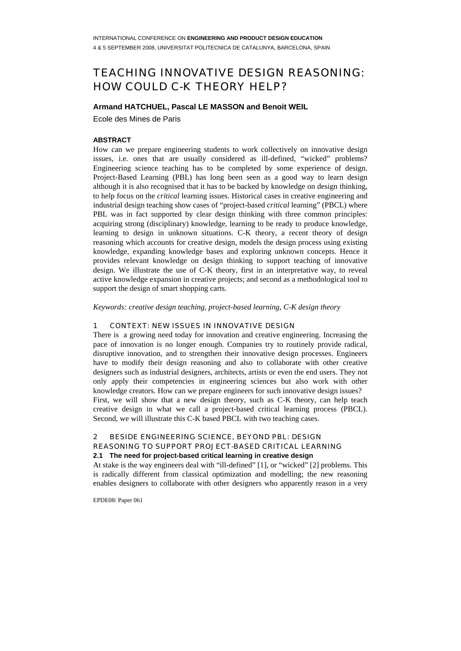# TEACHING INNOVATIVE DESIGN REASONING: HOW COULD C-K THEORY HELP?

# **Armand HATCHUEL, Pascal LE MASSON and Benoit WEIL**

Ecole des Mines de Paris

# **ABSTRACT**

How can we prepare engineering students to work collectively on innovative design issues, i.e. ones that are usually considered as ill-defined, "wicked" problems? Engineering science teaching has to be completed by some experience of design. Project-Based Learning (PBL) has long been seen as a good way to learn design although it is also recognised that it has to be backed by knowledge on design thinking, to help focus on the *critical* learning issues. Historical cases in creative engineering and industrial design teaching show cases of "project-based *critical* learning" (PBCL) where PBL was in fact supported by clear design thinking with three common principles: acquiring strong (disciplinary) knowledge, learning to be ready to produce knowledge, learning to design in unknown situations. C-K theory, a recent theory of design reasoning which accounts for creative design, models the design process using existing knowledge, expanding knowledge bases and exploring unknown concepts. Hence it provides relevant knowledge on design thinking to support teaching of innovative design. We illustrate the use of C-K theory, first in an interpretative way, to reveal active knowledge expansion in creative projects; and second as a methodological tool to support the design of smart shopping carts.

*Keywords: creative design teaching, project-based learning, C-K design theory* 

#### 1 CONTEXT: NEW ISSUES IN INNOVATIVE DESIGN

There is a growing need today for innovation and creative engineering. Increasing the pace of innovation is no longer enough. Companies try to routinely provide radical, disruptive innovation, and to strengthen their innovative design processes. Engineers have to modify their design reasoning and also to collaborate with other creative designers such as industrial designers, architects, artists or even the end users. They not only apply their competencies in engineering sciences but also work with other knowledge creators. How can we prepare engineers for such innovative design issues? First, we will show that a new design theory, such as C-K theory, can help teach creative design in what we call a project-based critical learning process (PBCL). Second, we will illustrate this C-K based PBCL with two teaching cases.

# 2 BESIDE ENGINEERING SCIENCE, BEYOND PBL: DESIGN REASONING TO SUPPORT PROJECT-BASED CRITICAL LEARNING **2.1 The need for project-based critical learning in creative design**

At stake is the way engineers deal with "ill-defined" [1], or "wicked" [2] problems. This is radically different from classical optimization and modelling; the new reasoning enables designers to collaborate with other designers who apparently reason in a very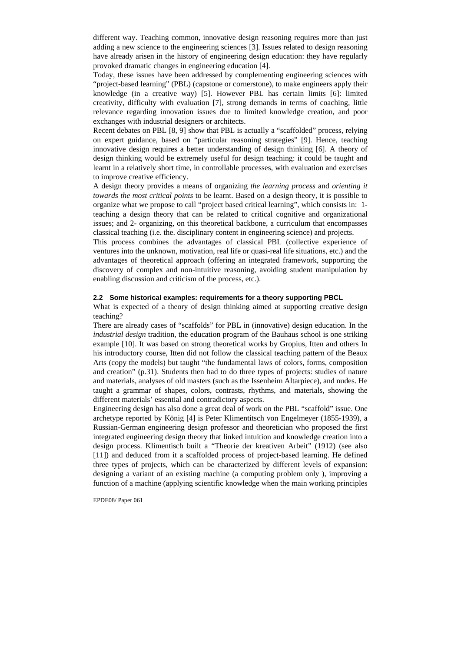different way. Teaching common, innovative design reasoning requires more than just adding a new science to the engineering sciences [3]. Issues related to design reasoning have already arisen in the history of engineering design education: they have regularly provoked dramatic changes in engineering education [4].

Today, these issues have been addressed by complementing engineering sciences with "project-based learning" (PBL) (capstone or cornerstone), to make engineers apply their knowledge (in a creative way) [5]. However PBL has certain limits [6]: limited creativity, difficulty with evaluation [7], strong demands in terms of coaching, little relevance regarding innovation issues due to limited knowledge creation, and poor exchanges with industrial designers or architects.

Recent debates on PBL [8, 9] show that PBL is actually a "scaffolded" process, relying on expert guidance, based on "particular reasoning strategies" [9]. Hence, teaching innovative design requires a better understanding of design thinking [6]. A theory of design thinking would be extremely useful for design teaching: it could be taught and learnt in a relatively short time, in controllable processes, with evaluation and exercises to improve creative efficiency.

A design theory provides a means of organizing *the learning process* and *orienting it towards the most critical points* to be learnt. Based on a design theory, it is possible to organize what we propose to call "project based critical learning", which consists in: 1 teaching a design theory that can be related to critical cognitive and organizational issues; and 2- organizing, on this theoretical backbone, a curriculum that encompasses classical teaching (i.e. the. disciplinary content in engineering science) and projects.

This process combines the advantages of classical PBL (collective experience of ventures into the unknown, motivation, real life or quasi-real life situations, etc.) and the advantages of theoretical approach (offering an integrated framework, supporting the discovery of complex and non-intuitive reasoning, avoiding student manipulation by enabling discussion and criticism of the process, etc.).

#### **2.2 Some historical examples: requirements for a theory supporting PBCL**

What is expected of a theory of design thinking aimed at supporting creative design teaching?

There are already cases of "scaffolds" for PBL in (innovative) design education. In the *industrial design* tradition, the education program of the Bauhaus school is one striking example [10]. It was based on strong theoretical works by Gropius, Itten and others In his introductory course, Itten did not follow the classical teaching pattern of the Beaux Arts (copy the models) but taught "the fundamental laws of colors, forms, composition and creation" (p.31). Students then had to do three types of projects: studies of nature and materials, analyses of old masters (such as the Issenheim Altarpiece), and nudes. He taught a grammar of shapes, colors, contrasts, rhythms, and materials, showing the different materials' essential and contradictory aspects.

Engineering design has also done a great deal of work on the PBL "scaffold" issue. One archetype reported by König [4] is Peter Klimentitsch von Engelmeyer (1855-1939), a Russian-German engineering design professor and theoretician who proposed the first integrated engineering design theory that linked intuition and knowledge creation into a design process. Klimentisch built a "Theorie der kreativen Arbeit" (1912) (see also [11]) and deduced from it a scaffolded process of project*-*based learning. He defined three types of projects, which can be characterized by different levels of expansion: designing a variant of an existing machine (a computing problem only ), improving a function of a machine (applying scientific knowledge when the main working principles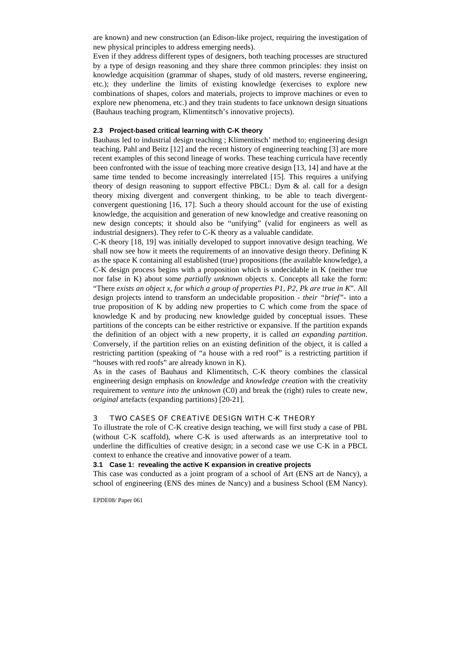are known) and new construction (an Edison-like project, requiring the investigation of new physical principles to address emerging needs).

Even if they address different types of designers, both teaching processes are structured by a type of design reasoning and they share three common principles: they insist on knowledge acquisition (grammar of shapes, study of old masters, reverse engineering, etc.); they underline the limits of existing knowledge (exercises to explore new combinations of shapes, colors and materials, projects to improve machines or even to explore new phenomena, etc.) and they train students to face unknown design situations (Bauhaus teaching program, Klimentitsch's innovative projects).

## **2.3 Project-based critical learning with C-K theory**

Bauhaus led to industrial design teaching ; Klimentitsch' method to; engineering design teaching. Pahl and Beitz [12] and the recent history of engineering teaching [3] are more recent examples of this second lineage of works. These teaching curricula have recently been confronted with the issue of teaching more creative design [13, 14] and have at the same time tended to become increasingly interrelated [15]. This requires a unifying theory of design reasoning to support effective PBCL: Dym  $\&$  al. call for a design theory mixing divergent and convergent thinking, to be able to teach divergentconvergent questioning [16, 17]. Such a theory should account for the use of existing knowledge, the acquisition and generation of new knowledge and creative reasoning on new design concepts; it should also be "unifying" (valid for engineers as well as industrial designers). They refer to C-K theory as a valuable candidate.

C-K theory [18, 19] was initially developed to support innovative design teaching. We shall now see how it meets the requirements of an innovative design theory. Defining K as the space K containing all established (true) propositions (the available knowledge), a C-K design process begins with a proposition which is undecidable in K (neither true nor false in K) about some *partially unknown* objects x. Concepts all take the form: "There *exists an object x, for which a group of properties P1, P2, Pk are true in K*". All design projects intend to transform an undecidable proposition - *their "brief"*- into a true proposition of K by adding new properties to C which come from the space of knowledge K and by producing new knowledge guided by conceptual issues. These partitions of the concepts can be either restrictive or expansive. If the partition expands the definition of an object with a new property, it is called *an expanding partition*. Conversely, if the partition relies on an existing definition of the object, it is called a restricting partition (speaking of "a house with a red roof" is a restricting partition if "houses with red roofs" are already known in K).

As in the cases of Bauhaus and Klimentitsch, C-K theory combines the classical engineering design emphasis on *knowledge* and *knowledge creation* with the creativity requirement to *venture into the unknown* (C0) and break the (right) rules to create new, *original* artefacts (expanding partitions) [20-21].

### 3 TWO CASES OF CREATIVE DESIGN WITH C-K THEORY

To illustrate the role of C-K creative design teaching, we will first study a case of PBL (without C-K scaffold), where C-K is used afterwards as an interpretative tool to underline the difficulties of creative design; in a second case we use C-K in a PBCL context to enhance the creative and innovative power of a team.

#### **3.1 Case 1: revealing the active K expansion in creative projects**

This case was conducted as a joint program of a school of Art (ENS art de Nancy), a school of engineering (ENS des mines de Nancy) and a business School (EM Nancy).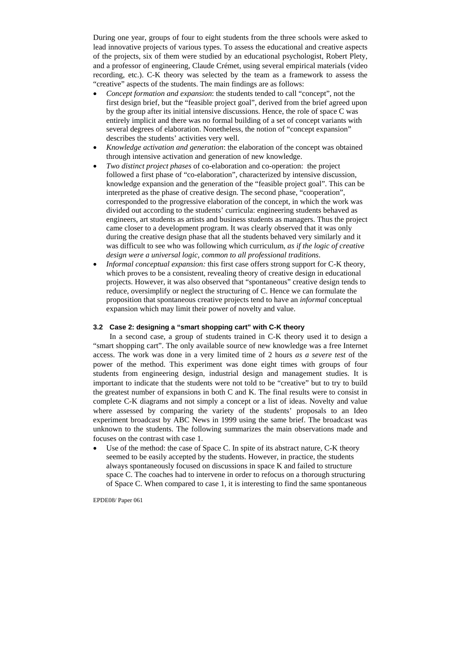During one year, groups of four to eight students from the three schools were asked to lead innovative projects of various types. To assess the educational and creative aspects of the projects, six of them were studied by an educational psychologist, Robert Plety, and a professor of engineering, Claude Crémet, using several empirical materials (video recording, etc.). C-K theory was selected by the team as a framework to assess the "creative" aspects of the students. The main findings are as follows:

- *Concept formation and expansion*: the students tended to call "concept", not the first design brief, but the "feasible project goal", derived from the brief agreed upon by the group after its initial intensive discussions. Hence, the role of space C was entirely implicit and there was no formal building of a set of concept variants with several degrees of elaboration. Nonetheless, the notion of "concept expansion" describes the students' activities very well.
- *Knowledge activation and generation*: the elaboration of the concept was obtained through intensive activation and generation of new knowledge.
- *Two distinct project phases* of co-elaboration and co-operation: the project followed a first phase of "co-elaboration", characterized by intensive discussion, knowledge expansion and the generation of the "feasible project goal". This can be interpreted as the phase of creative design. The second phase, "cooperation", corresponded to the progressive elaboration of the concept, in which the work was divided out according to the students' curricula: engineering students behaved as engineers, art students as artists and business students as managers. Thus the project came closer to a development program. It was clearly observed that it was only during the creative design phase that all the students behaved very similarly and it was difficult to see who was following which curriculum, *as if the logic of creative design were a universal logic, common to all professional traditions*.
- *Informal conceptual expansion:* this first case offers strong support for C-K theory, which proves to be a consistent, revealing theory of creative design in educational projects. However, it was also observed that "spontaneous" creative design tends to reduce, oversimplify or neglect the structuring of C. Hence we can formulate the proposition that spontaneous creative projects tend to have an *informal* conceptual expansion which may limit their power of novelty and value.

## **3.2 Case 2: designing a "smart shopping cart" with C-K theory**

 In a second case, a group of students trained in C-K theory used it to design a "smart shopping cart". The only available source of new knowledge was a free Internet access. The work was done in a very limited time of 2 hours *as a severe test* of the power of the method. This experiment was done eight times with groups of four students from engineering design, industrial design and management studies. It is important to indicate that the students were not told to be "creative" but to try to build the greatest number of expansions in both C and K. The final results were to consist in complete C-K diagrams and not simply a concept or a list of ideas. Novelty and value where assessed by comparing the variety of the students' proposals to an Ideo experiment broadcast by ABC News in 1999 using the same brief. The broadcast was unknown to the students. The following summarizes the main observations made and focuses on the contrast with case 1.

Use of the method: the case of Space C. In spite of its abstract nature, C-K theory seemed to be easily accepted by the students. However, in practice, the students always spontaneously focused on discussions in space K and failed to structure space C. The coaches had to intervene in order to refocus on a thorough structuring of Space C. When compared to case 1, it is interesting to find the same spontaneous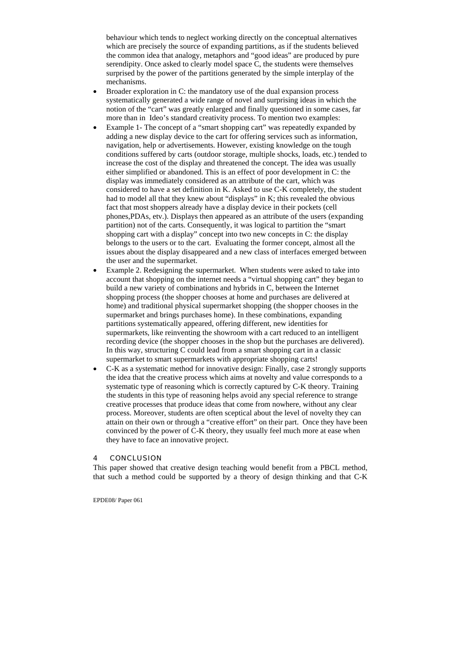behaviour which tends to neglect working directly on the conceptual alternatives which are precisely the source of expanding partitions, as if the students believed the common idea that analogy, metaphors and "good ideas" are produced by pure serendipity. Once asked to clearly model space C, the students were themselves surprised by the power of the partitions generated by the simple interplay of the mechanisms.

- Broader exploration in C: the mandatory use of the dual expansion process systematically generated a wide range of novel and surprising ideas in which the notion of the "cart" was greatly enlarged and finally questioned in some cases, far more than in Ideo's standard creativity process. To mention two examples:
- Example 1- The concept of a "smart shopping cart" was repeatedly expanded by adding a new display device to the cart for offering services such as information, navigation, help or advertisements. However, existing knowledge on the tough conditions suffered by carts (outdoor storage, multiple shocks, loads, etc.) tended to increase the cost of the display and threatened the concept. The idea was usually either simplified or abandoned. This is an effect of poor development in C: the display was immediately considered as an attribute of the cart, which was considered to have a set definition in K. Asked to use C-K completely, the student had to model all that they knew about "displays" in K; this revealed the obvious fact that most shoppers already have a display device in their pockets (cell phones,PDAs, etv.). Displays then appeared as an attribute of the users (expanding partition) not of the carts. Consequently, it was logical to partition the "smart shopping cart with a display" concept into two new concepts in C: the display belongs to the users or to the cart. Evaluating the former concept, almost all the issues about the display disappeared and a new class of interfaces emerged between the user and the supermarket.
- Example 2. Redesigning the supermarket. When students were asked to take into account that shopping on the internet needs a "virtual shopping cart" they began to build a new variety of combinations and hybrids in C, between the Internet shopping process (the shopper chooses at home and purchases are delivered at home) and traditional physical supermarket shopping (the shopper chooses in the supermarket and brings purchases home). In these combinations, expanding partitions systematically appeared, offering different, new identities for supermarkets, like reinventing the showroom with a cart reduced to an intelligent recording device (the shopper chooses in the shop but the purchases are delivered). In this way, structuring C could lead from a smart shopping cart in a classic supermarket to smart supermarkets with appropriate shopping carts!
- C-K as a systematic method for innovative design: Finally, case 2 strongly supports the idea that the creative process which aims at novelty and value corresponds to a systematic type of reasoning which is correctly captured by C-K theory. Training the students in this type of reasoning helps avoid any special reference to strange creative processes that produce ideas that come from nowhere, without any clear process. Moreover, students are often sceptical about the level of novelty they can attain on their own or through a "creative effort" on their part. Once they have been convinced by the power of C-K theory, they usually feel much more at ease when they have to face an innovative project.

#### 4 CONCLUSION

This paper showed that creative design teaching would benefit from a PBCL method, that such a method could be supported by a theory of design thinking and that C-K